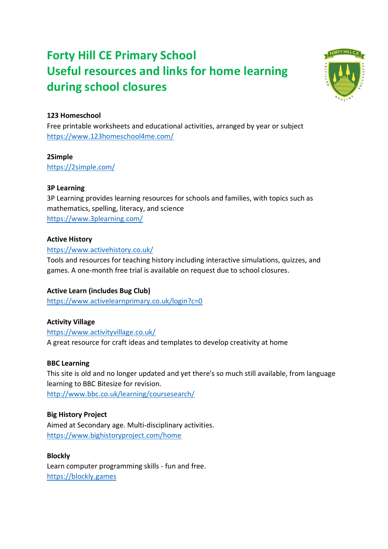# **Forty Hill CE Primary School Useful resources and links for home learning during school closures**



# **123 Homeschool**

Free printable worksheets and educational activities, arranged by year or subject <https://www.123homeschool4me.com/>

# **2Simple**

<https://2simple.com/>

# **3P Learning**

3P Learning provides learning resources for schools and families, with topics such as mathematics, spelling, literacy, and science <https://www.3plearning.com/>

# **Active History**

#### <https://www.activehistory.co.uk/>

Tools and resources for teaching history including interactive simulations, quizzes, and games. A one-month free trial is available on request due to school closures.

# **Active Learn (includes Bug Club)**

<https://www.activelearnprimary.co.uk/login?c=0>

# **Activity Village**

<https://www.activityvillage.co.uk/> A great resource for craft ideas and templates to develop creativity at home

# **BBC Learning**

This site is old and no longer updated and yet there's so much still available, from language learning to BBC Bitesize for revision. <http://www.bbc.co.uk/learning/coursesearch/>

# **Big History Project**

Aimed at Secondary age. Multi-disciplinary activities. <https://www.bighistoryproject.com/home>

**Blockly** Learn computer programming skills - fun and free. [https://blockly.games](https://blockly.games/)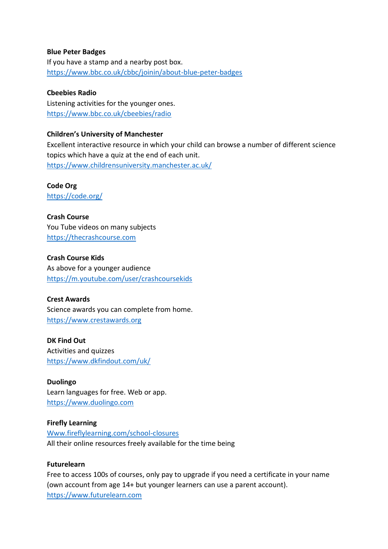#### **Blue Peter Badges**

If you have a stamp and a nearby post box. <https://www.bbc.co.uk/cbbc/joinin/about-blue-peter-badges>

#### **Cbeebies Radio**

Listening activities for the younger ones. <https://www.bbc.co.uk/cbeebies/radio>

#### **Children's University of Manchester**

Excellent interactive resource in which your child can browse a number of different science topics which have a quiz at the end of each unit. <https://www.childrensuniversity.manchester.ac.uk/>

# **Code Org**

<https://code.org/>

# **Crash Course**

You Tube videos on many subjects [https://thecrashcourse.com](https://thecrashcourse.com/)

#### **Crash Course Kids**

As above for a younger audience <https://m.youtube.com/user/crashcoursekids>

#### **Crest Awards**

Science awards you can complete from home. [https://www.crestawards.org](https://www.crestawards.org/)

# **DK Find Out** Activities and quizzes <https://www.dkfindout.com/uk/>

**Duolingo** Learn languages for free. Web or app. [https://www.duolingo.com](https://www.duolingo.com/)

#### **Firefly Learning**

[Www.fireflylearning.com/school-closures](http://www.fireflylearning.com/school-closures) All their online resources freely available for the time being

#### **Futurelearn**

Free to access 100s of courses, only pay to upgrade if you need a certificate in your name (own account from age 14+ but younger learners can use a parent account). [https://www.futurelearn.com](https://www.futurelearn.com/)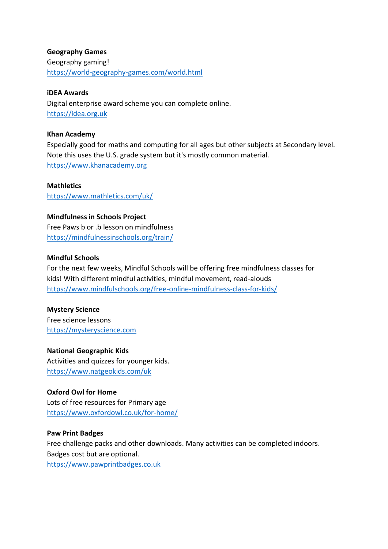# **Geography Games**

Geography gaming! <https://world-geography-games.com/world.html>

#### **iDEA Awards**

Digital enterprise award scheme you can complete online. [https://idea.org.uk](https://idea.org.uk/)

#### **Khan Academy**

Especially good for maths and computing for all ages but other subjects at Secondary level. Note this uses the U.S. grade system but it's mostly common material. [https://www.khanacademy.org](https://www.khanacademy.org/)

#### **Mathletics**

<https://www.mathletics.com/uk/>

# **Mindfulness in Schools Project** Free Paws b or .b lesson on mindfulness <https://mindfulnessinschools.org/train/>

#### **Mindful Schools**

For the next few weeks, Mindful Schools will be offering free mindfulness classes for kids! With different mindful activities, mindful movement, read-alouds <https://www.mindfulschools.org/free-online-mindfulness-class-for-kids/>

# **Mystery Science**

Free science lessons [https://mysteryscience.com](https://mysteryscience.com/)

# **National Geographic Kids** Activities and quizzes for younger kids. [https://www.natgeokids.com/uk](https://www.natgeokids.com/uk/)

# **Oxford Owl for Home**

Lots of free resources for Primary age <https://www.oxfordowl.co.uk/for-home/>

# **Paw Print Badges**

Free challenge packs and other downloads. Many activities can be completed indoors. Badges cost but are optional. [https://www.pawprintbadges.co.uk](https://www.pawprintbadges.co.uk/)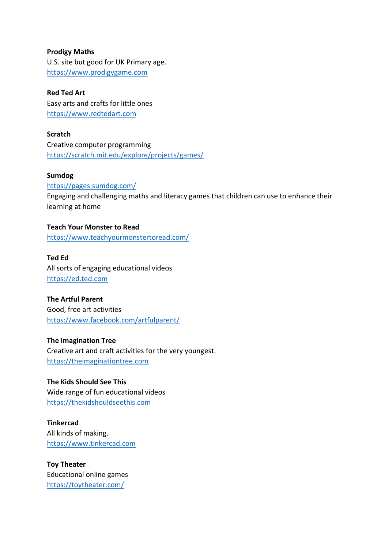#### **Prodigy Maths**

U.S. site but good for UK Primary age. [https://www.prodigygame.com](https://www.prodigygame.com/)

**Red Ted Art** Easy arts and crafts for little ones [https://www.redtedart.com](https://www.redtedart.com/)

**Scratch** Creative computer programming <https://scratch.mit.edu/explore/projects/games/>

#### **Sumdog**

<https://pages.sumdog.com/>

Engaging and challenging maths and literacy games that children can use to enhance their learning at home

#### **Teach Your Monster to Read**

<https://www.teachyourmonstertoread.com/>

#### **Ted Ed**

All sorts of engaging educational videos [https://ed.ted.com](https://ed.ted.com/)

#### **The Artful Parent**

Good, free art activities <https://www.facebook.com/artfulparent/>

**The Imagination Tree**

Creative art and craft activities for the very youngest. [https://theimaginationtree.com](https://theimaginationtree.com/)

**The Kids Should See This** Wide range of fun educational videos [https://thekidshouldseethis.com](https://thekidshouldseethis.com/)

**Tinkercad** All kinds of making. [https://www.tinkercad.com](https://www.tinkercad.com/)

**Toy Theater** Educational online games <https://toytheater.com/>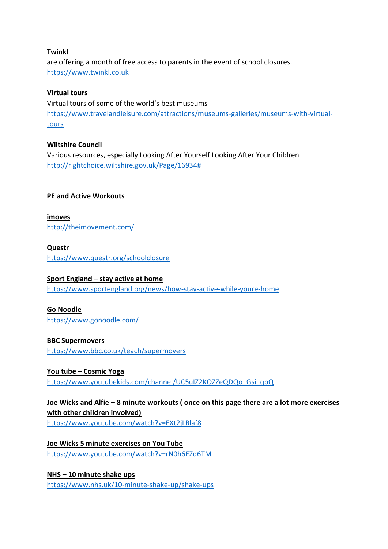#### **Twinkl**

are offering a month of free access to parents in the event of school closures. [https://www.twinkl.co.uk](https://www.twinkl.co.uk/)

# **Virtual tours**

Virtual tours of some of the world's best museums [https://www.travelandleisure.com/attractions/museums-galleries/museums-with-virtual](https://www.travelandleisure.com/attractions/museums-galleries/museums-with-virtual-tours)[tours](https://www.travelandleisure.com/attractions/museums-galleries/museums-with-virtual-tours)

# **Wiltshire Council**

Various resources, especially Looking After Yourself Looking After Your Children [http://rightchoice.wiltshire.gov.uk/Page/16934#](http://rightchoice.wiltshire.gov.uk/Page/16934)

# **PE and Active Workouts**

**imoves** <http://theimovement.com/>

#### **Questr**

<https://www.questr.org/schoolclosure>

# **Sport England – stay active at home**

<https://www.sportengland.org/news/how-stay-active-while-youre-home>

#### **Go Noodle**

<https://www.gonoodle.com/>

#### **BBC Supermovers**

<https://www.bbc.co.uk/teach/supermovers>

# **You tube – Cosmic Yoga**

[https://www.youtubekids.com/channel/UC5uIZ2KOZZeQDQo\\_Gsi\\_qbQ](https://www.youtubekids.com/channel/UC5uIZ2KOZZeQDQo_Gsi_qbQ)

**Joe Wicks and Alfie – 8 minute workouts ( once on this page there are a lot more exercises with other children involved)** <https://www.youtube.com/watch?v=EXt2jLRlaf8>

# **Joe Wicks 5 minute exercises on You Tube** <https://www.youtube.com/watch?v=rN0h6EZd6TM>

**NHS – 10 minute shake ups**  <https://www.nhs.uk/10-minute-shake-up/shake-ups>